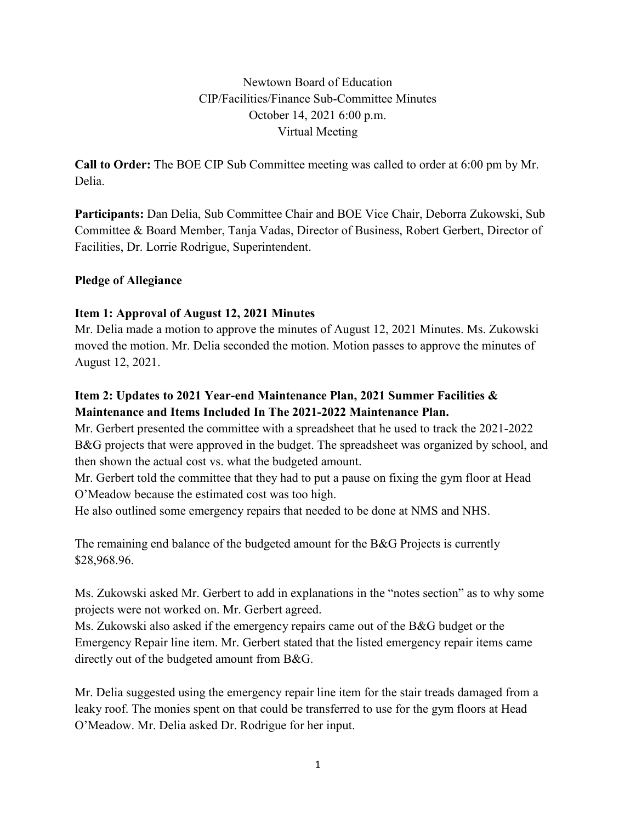Newtown Board of Education CIP/Facilities/Finance Sub-Committee Minutes October 14, 2021 6:00 p.m. Virtual Meeting

**Call to Order:** The BOE CIP Sub Committee meeting was called to order at 6:00 pm by Mr. Delia.

**Participants:** Dan Delia, Sub Committee Chair and BOE Vice Chair, Deborra Zukowski, Sub Committee & Board Member, Tanja Vadas, Director of Business, Robert Gerbert, Director of Facilities, Dr. Lorrie Rodrigue, Superintendent.

# **Pledge of Allegiance**

# **Item 1: Approval of August 12, 2021 Minutes**

Mr. Delia made a motion to approve the minutes of August 12, 2021 Minutes. Ms. Zukowski moved the motion. Mr. Delia seconded the motion. Motion passes to approve the minutes of August 12, 2021.

# **Item 2: Updates to 2021 Year-end Maintenance Plan, 2021 Summer Facilities & Maintenance and Items Included In The 2021-2022 Maintenance Plan.**

Mr. Gerbert presented the committee with a spreadsheet that he used to track the 2021-2022 B&G projects that were approved in the budget. The spreadsheet was organized by school, and then shown the actual cost vs. what the budgeted amount.

Mr. Gerbert told the committee that they had to put a pause on fixing the gym floor at Head O'Meadow because the estimated cost was too high.

He also outlined some emergency repairs that needed to be done at NMS and NHS.

The remaining end balance of the budgeted amount for the B&G Projects is currently \$28,968.96.

Ms. Zukowski asked Mr. Gerbert to add in explanations in the "notes section" as to why some projects were not worked on. Mr. Gerbert agreed.

Ms. Zukowski also asked if the emergency repairs came out of the B&G budget or the Emergency Repair line item. Mr. Gerbert stated that the listed emergency repair items came directly out of the budgeted amount from B&G.

Mr. Delia suggested using the emergency repair line item for the stair treads damaged from a leaky roof. The monies spent on that could be transferred to use for the gym floors at Head O'Meadow. Mr. Delia asked Dr. Rodrigue for her input.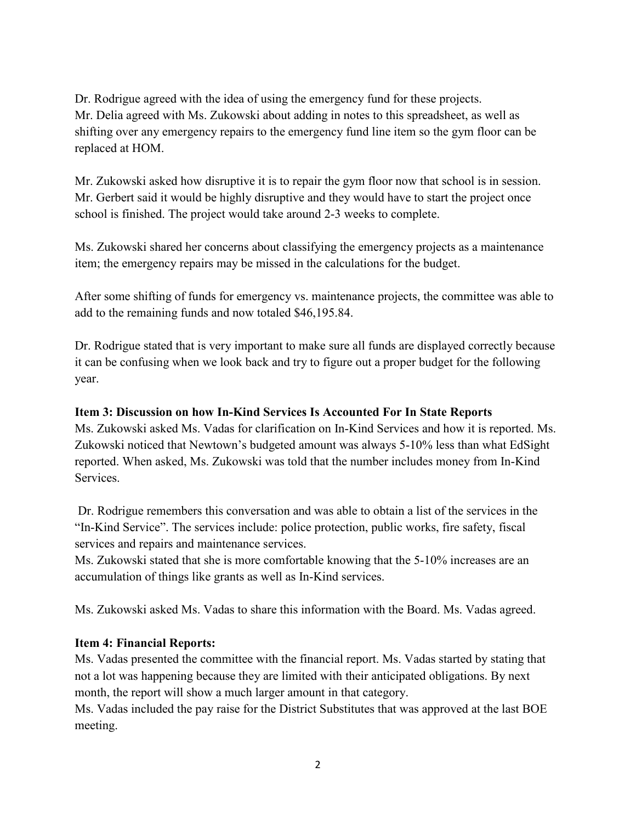Dr. Rodrigue agreed with the idea of using the emergency fund for these projects. Mr. Delia agreed with Ms. Zukowski about adding in notes to this spreadsheet, as well as shifting over any emergency repairs to the emergency fund line item so the gym floor can be replaced at HOM.

Mr. Zukowski asked how disruptive it is to repair the gym floor now that school is in session. Mr. Gerbert said it would be highly disruptive and they would have to start the project once school is finished. The project would take around 2-3 weeks to complete.

Ms. Zukowski shared her concerns about classifying the emergency projects as a maintenance item; the emergency repairs may be missed in the calculations for the budget.

After some shifting of funds for emergency vs. maintenance projects, the committee was able to add to the remaining funds and now totaled \$46,195.84.

Dr. Rodrigue stated that is very important to make sure all funds are displayed correctly because it can be confusing when we look back and try to figure out a proper budget for the following year.

# **Item 3: Discussion on how In-Kind Services Is Accounted For In State Reports**

Ms. Zukowski asked Ms. Vadas for clarification on In-Kind Services and how it is reported. Ms. Zukowski noticed that Newtown's budgeted amount was always 5-10% less than what EdSight reported. When asked, Ms. Zukowski was told that the number includes money from In-Kind Services.

Dr. Rodrigue remembers this conversation and was able to obtain a list of the services in the "In-Kind Service". The services include: police protection, public works, fire safety, fiscal services and repairs and maintenance services.

Ms. Zukowski stated that she is more comfortable knowing that the 5-10% increases are an accumulation of things like grants as well as In-Kind services.

Ms. Zukowski asked Ms. Vadas to share this information with the Board. Ms. Vadas agreed.

#### **Item 4: Financial Reports:**

Ms. Vadas presented the committee with the financial report. Ms. Vadas started by stating that not a lot was happening because they are limited with their anticipated obligations. By next month, the report will show a much larger amount in that category.

Ms. Vadas included the pay raise for the District Substitutes that was approved at the last BOE meeting.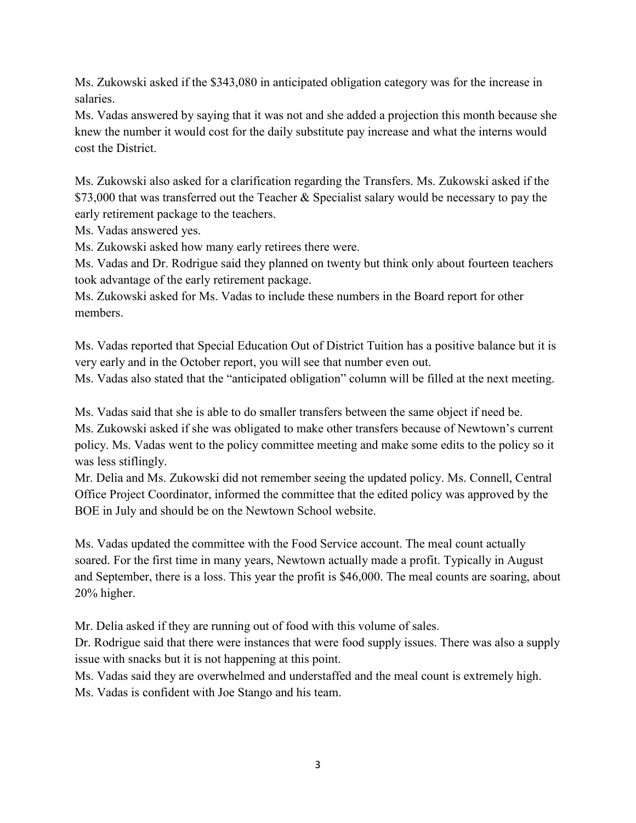Ms. Zukowski asked if the \$343,080 in anticipated obligation category was for the increase in salaries.

Ms. Vadas answered by saying that it was not and she added a projection this month because she knew the number it would cost for the daily substitute pay increase and what the interns would cost the District.

Ms. Zukowski also asked for a clarification regarding the Transfers. Ms. Zukowski asked if the \$73,000 that was transferred out the Teacher & Specialist salary would be necessary to pay the early retirement package to the teachers.

Ms. Vadas answered yes.

Ms. Zukowski asked how many early retirees there were.

Ms. Vadas and Dr. Rodrigue said they planned on twenty but think only about fourteen teachers took advantage of the early retirement package.

Ms. Zukowski asked for Ms. Vadas to include these numbers in the Board report for other members.

Ms. Vadas reported that Special Education Out of District Tuition has a positive balance but it is very early and in the October report, you will see that number even out.

Ms. Vadas also stated that the "anticipated obligation" column will be filled at the next meeting.

Ms. Vadas said that she is able to do smaller transfers between the same object if need be.

Ms. Zukowski asked if she was obligated to make other transfers because of Newtown's current policy. Ms. Vadas went to the policy committee meeting and make some edits to the policy so it was less stiflingly.

Mr. Delia and Ms. Zukowski did not remember seeing the updated policy. Ms. Connell, Central Office Project Coordinator, informed the committee that the edited policy was approved by the BOE in July and should be on the Newtown School website.

Ms. Vadas updated the committee with the Food Service account. The meal count actually soared. For the first time in many years, Newtown actually made a profit. Typically in August and September, there is a loss. This year the profit is \$46,000. The meal counts are soaring, about 20% higher.

Mr. Delia asked if they are running out of food with this volume of sales.

Dr. Rodrigue said that there were instances that were food supply issues. There was also a supply issue with snacks but it is not happening at this point.

Ms. Vadas said they are overwhelmed and understaffed and the meal count is extremely high. Ms. Vadas is confident with Joe Stango and his team.